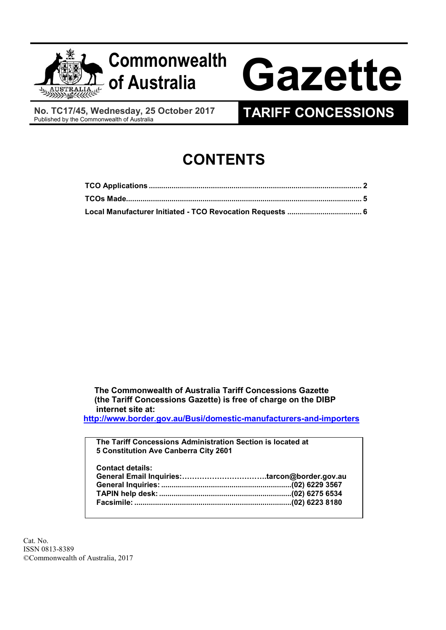

 No. TC17/45, Wednesday, 25 October 2017 No. TC17/45, Wednesday, 25 October 2017<br>Published by the Commonwealth of Australia

# CONTENTS

The Commonwealth of Australia Tariff Concessions Gazette (the Tariff Concessions Gazette) is free of charge on the DIBP internet site at:

http://www.border.gov.au/Busi/domestic-manufacturers-and-importers

| The Tariff Concessions Administration Section is located at<br>5 Constitution Ave Canberra City 2601 |  |
|------------------------------------------------------------------------------------------------------|--|
| <b>Contact details:</b>                                                                              |  |

 Cat. No. ISSN 0813-8389 ©Commonwealth of Australia, 2017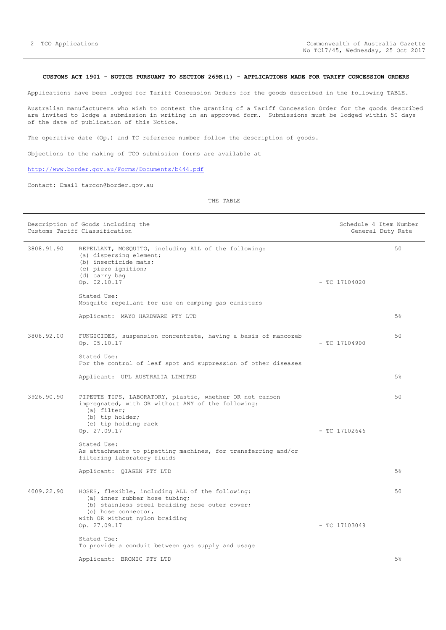## CUSTOMS ACT 1901 - NOTICE PURSUANT TO SECTION 269K(1) - APPLICATIONS MADE FOR TARIFF CONCESSION ORDERS

Applications have been lodged for Tariff Concession Orders for the goods described in the following TABLE.

 Australian manufacturers who wish to contest the granting of a Tariff Concession Order for the goods described are invited to lodge a submission in writing in an approved form. Submissions must be lodged within 50 days of the date of publication of this Notice.

The operative date (Op.) and TC reference number follow the description of goods.

Objections to the making of TCO submission forms are available at

# http://www.border.gov.au/Forms/Documents/b444.pdf

Contact: Email tarcon@border.gov.au

THE TABLE

| Description of Goods including the<br>Customs Tariff Classification |                                                                                                                                                                                          | Schedule 4 Item Number<br>General Duty Rate |  |
|---------------------------------------------------------------------|------------------------------------------------------------------------------------------------------------------------------------------------------------------------------------------|---------------------------------------------|--|
| 3808.91.90                                                          | REPELLANT, MOSQUITO, including ALL of the following:<br>(a) dispersing element;<br>(b) insecticide mats;<br>(c) piezo ignition;<br>(d) carry bag<br>Op. 02.10.17<br>Stated Use:          | 50<br>$-$ TC 17104020                       |  |
|                                                                     | Mosquito repellant for use on camping gas canisters                                                                                                                                      |                                             |  |
|                                                                     | Applicant: MAYO HARDWARE PTY LTD                                                                                                                                                         | 5%                                          |  |
| 3808.92.00                                                          | FUNGICIDES, suspension concentrate, having a basis of mancozeb<br>Op. 05.10.17                                                                                                           | 50<br>$-$ TC 17104900                       |  |
|                                                                     | Stated Use:<br>For the control of leaf spot and suppression of other diseases                                                                                                            |                                             |  |
|                                                                     | Applicant: UPL AUSTRALIA LIMITED                                                                                                                                                         | 5%                                          |  |
| 3926.90.90                                                          | PIPETTE TIPS, LABORATORY, plastic, whether OR not carbon<br>impregnated, with OR without ANY of the following:<br>(a) filter;<br>(b) tip holder;<br>(c) tip holding rack<br>Op. 27.09.17 | 50<br>$-$ TC 17102646                       |  |
|                                                                     | Stated Use:<br>As attachments to pipetting machines, for transferring and/or<br>filtering laboratory fluids                                                                              |                                             |  |
|                                                                     | Applicant: QIAGEN PTY LTD                                                                                                                                                                | 5%                                          |  |
| 4009.22.90                                                          | HOSES, flexible, including ALL of the following:<br>(a) inner rubber hose tubing;<br>(b) stainless steel braiding hose outer cover;<br>(c) hose connector,                               | 50                                          |  |
|                                                                     | with OR without nylon braiding<br>Op. 27.09.17                                                                                                                                           | $-$ TC 17103049                             |  |
|                                                                     | Stated Use:<br>To provide a conduit between gas supply and usage                                                                                                                         |                                             |  |
|                                                                     | Applicant: BROMIC PTY LTD                                                                                                                                                                | 5%                                          |  |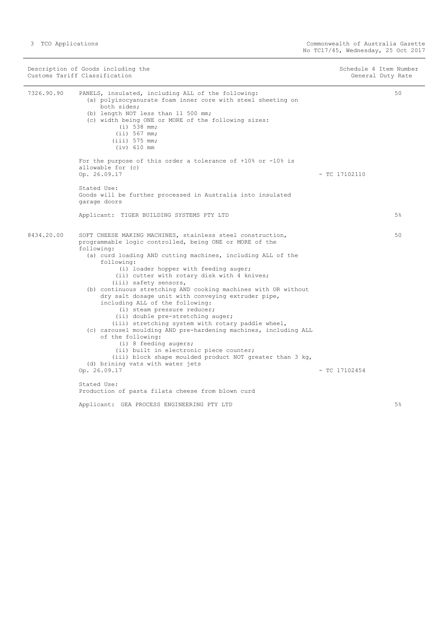| Description of Goods including the<br>Customs Tariff Classification |                                                                                                                                                                                                                                                                                                                                                                                                                                                                                                                                                                                                                                                                                                                                                                                                                                                                                                                                                                         | Schedule 4 Item Number<br>General Duty Rate |       |
|---------------------------------------------------------------------|-------------------------------------------------------------------------------------------------------------------------------------------------------------------------------------------------------------------------------------------------------------------------------------------------------------------------------------------------------------------------------------------------------------------------------------------------------------------------------------------------------------------------------------------------------------------------------------------------------------------------------------------------------------------------------------------------------------------------------------------------------------------------------------------------------------------------------------------------------------------------------------------------------------------------------------------------------------------------|---------------------------------------------|-------|
| 7326.90.90                                                          | PANELS, insulated, including ALL of the following:<br>(a) polyisocyanurate foam inner core with steel sheeting on<br>both sides;<br>(b) length NOT less than 11 500 mm;<br>(c) width being ONE or MORE of the following sizes:<br>$(i)$ 538 mm;<br>(iii) 567 mm;<br>$(iii)$ 575 mm;<br>$(iv)$ 610 mm                                                                                                                                                                                                                                                                                                                                                                                                                                                                                                                                                                                                                                                                    |                                             | 50    |
|                                                                     | For the purpose of this order a tolerance of $+10$ % or $-10$ % is<br>allowable for (c)<br>Op. 26.09.17                                                                                                                                                                                                                                                                                                                                                                                                                                                                                                                                                                                                                                                                                                                                                                                                                                                                 | $-$ TC 17102110                             |       |
|                                                                     | Stated Use:<br>Goods will be further processed in Australia into insulated<br>garage doors                                                                                                                                                                                                                                                                                                                                                                                                                                                                                                                                                                                                                                                                                                                                                                                                                                                                              |                                             |       |
|                                                                     | Applicant: TIGER BUILDING SYSTEMS PTY LTD                                                                                                                                                                                                                                                                                                                                                                                                                                                                                                                                                                                                                                                                                                                                                                                                                                                                                                                               |                                             | $5\%$ |
| 8434.20.00                                                          | SOFT CHEESE MAKING MACHINES, stainless steel construction,<br>programmable logic controlled, being ONE or MORE of the<br>following:<br>(a) curd loading AND cutting machines, including ALL of the<br>following:<br>(i) loader hopper with feeding auger;<br>(ii) cutter with rotary disk with 4 knives;<br>(iii) safety sensors,<br>(b) continuous stretching AND cooking machines with OR without<br>dry salt dosage unit with conveying extruder pipe,<br>including ALL of the following:<br>(i) steam pressure reducer;<br>(ii) double pre-stretching auger;<br>(iii) stretching system with rotary paddle wheel,<br>(c) carousel moulding AND pre-hardening machines, including ALL<br>of the following:<br>$(i)$ 8 feeding augers;<br>(ii) built in electronic piece counter;<br>(iii) block shape moulded product NOT greater than 3 kg,<br>(d) brining vats with water jets<br>Op. 26.09.17<br>Stated Use:<br>Production of pasta filata cheese from blown curd | $-$ TC 17102454                             | 50    |
|                                                                     | Applicant: GEA PROCESS ENGINEERING PTY LTD                                                                                                                                                                                                                                                                                                                                                                                                                                                                                                                                                                                                                                                                                                                                                                                                                                                                                                                              |                                             | 5%    |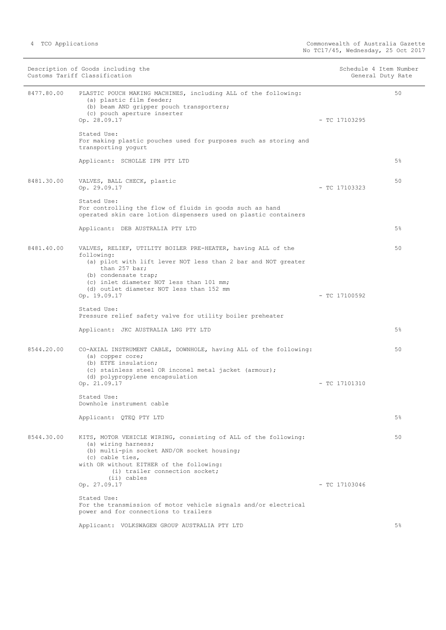|            | Description of Goods including the<br>Customs Tariff Classification                                                                                                                                                                                                          |                 | Schedule 4 Item Number<br>General Duty Rate |
|------------|------------------------------------------------------------------------------------------------------------------------------------------------------------------------------------------------------------------------------------------------------------------------------|-----------------|---------------------------------------------|
| 8477.80.00 | PLASTIC POUCH MAKING MACHINES, including ALL of the following:<br>(a) plastic film feeder;<br>(b) beam AND gripper pouch transporters;<br>(c) pouch aperture inserter<br>Op. 28.09.17                                                                                        | $-$ TC 17103295 | 50                                          |
|            | Stated Use:<br>For making plastic pouches used for purposes such as storing and<br>transporting yogurt                                                                                                                                                                       |                 |                                             |
|            | Applicant: SCHOLLE IPN PTY LTD                                                                                                                                                                                                                                               |                 | $5\%$                                       |
| 8481.30.00 | VALVES, BALL CHECK, plastic<br>Op. 29.09.17                                                                                                                                                                                                                                  | $-$ TC 17103323 | 50                                          |
|            | Stated Use:<br>For controlling the flow of fluids in goods such as hand<br>operated skin care lotion dispensers used on plastic containers                                                                                                                                   |                 |                                             |
|            | Applicant: DEB AUSTRALIA PTY LTD                                                                                                                                                                                                                                             |                 | 5%                                          |
| 8481.40.00 | VALVES, RELIEF, UTILITY BOILER PRE-HEATER, having ALL of the<br>following:<br>(a) pilot with lift lever NOT less than 2 bar and NOT greater<br>than 257 bar;<br>(b) condensate trap;<br>(c) inlet diameter NOT less than 101 mm;<br>(d) outlet diameter NOT less than 152 mm |                 | 50                                          |
|            | Op. 19.09.17                                                                                                                                                                                                                                                                 | $-$ TC 17100592 |                                             |
|            | Stated Use:<br>Pressure relief safety valve for utility boiler preheater                                                                                                                                                                                                     |                 |                                             |
|            | Applicant: JKC AUSTRALIA LNG PTY LTD                                                                                                                                                                                                                                         |                 | $5\%$                                       |
| 8544.20.00 | CO-AXIAL INSTRUMENT CABLE, DOWNHOLE, having ALL of the following:<br>(a) copper core;<br>(b) ETFE insulation;<br>(c) stainless steel OR inconel metal jacket (armour);<br>(d) polypropylene encapsulation<br>Op. 21.09.17                                                    | $-$ TC 17101310 | 50                                          |
|            | Stated Use:<br>Downhole instrument cable                                                                                                                                                                                                                                     |                 |                                             |
|            | Applicant: QTEQ PTY LTD                                                                                                                                                                                                                                                      |                 | $5\%$                                       |
| 8544.30.00 | KITS, MOTOR VEHICLE WIRING, consisting of ALL of the following:<br>(a) wiring harness;<br>(b) multi-pin socket AND/OR socket housing;<br>(c) cable ties,<br>with OR without EITHER of the following:<br>(i) trailer connection socket;<br>(ii) cables                        |                 | 50                                          |
|            | Op. 27.09.17                                                                                                                                                                                                                                                                 | $-$ TC 17103046 |                                             |
|            | Stated Use:<br>For the transmission of motor vehicle signals and/or electrical<br>power and for connections to trailers                                                                                                                                                      |                 |                                             |
|            | Applicant: VOLKSWAGEN GROUP AUSTRALIA PTY LTD                                                                                                                                                                                                                                |                 | 5%                                          |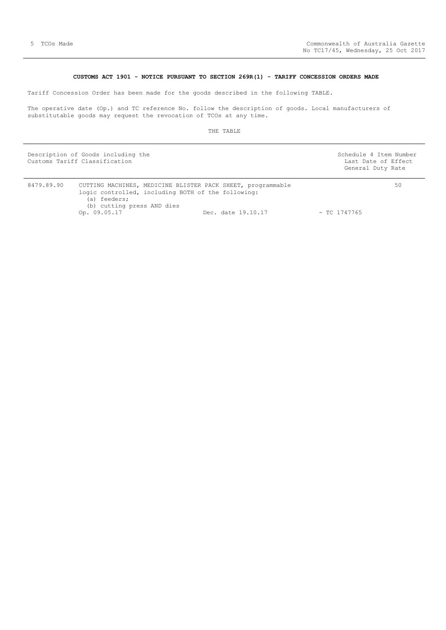# CUSTOMS ACT 1901 - NOTICE PURSUANT TO SECTION 269R(1) - TARIFF CONCESSION ORDERS MADE

Tariff Concession Order has been made for the goods described in the following TABLE.

 The operative date (Op.) and TC reference No. follow the description of goods. Local manufacturers of substitutable goods may request the revocation of TCOs at any time.

THE TABLE

| Description of Goods including the<br>Customs Tariff Classification | Schedule 4 Item Number<br>Last Date of Effect<br>General Duty Rate |    |
|---------------------------------------------------------------------|--------------------------------------------------------------------|----|
| 8479.89.90                                                          | CUTTING MACHINES, MEDICINE BLISTER PACK SHEET, programmable        | 50 |